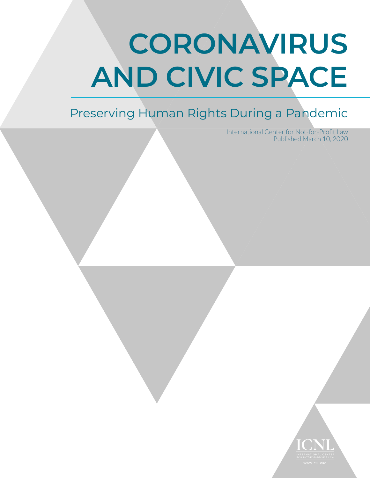# **CORONAVIRUS AND CIVIC SPACE**

## Preserving Human Rights During a Pandemic

International Center for Not-for-Profit Law Published March 10, 2020

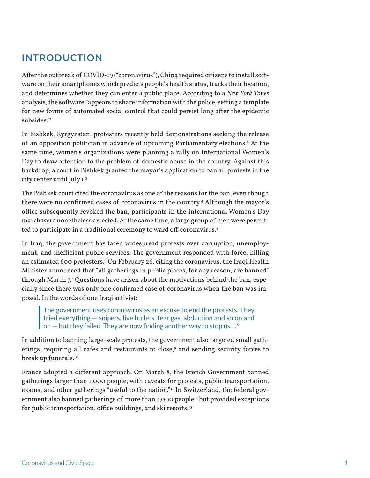## **INTRODUCTION**

After the outbreak of COVID-19 ("coronavirus"), China required citizens to install software on their smartphones which predicts people's health status, tracks their location, and determines whether they can enter a public place. According to a *New York Times* analysis, the software "appears to share information with the police, setting a template for new forms of automated social control that could persist long after the epidemic subsides."1

In Bishkek, Kyrgyzstan, protesters recently held demonstrations seeking the release of an opposition politician in advance of upcoming Parliamentary elections.<sup>2</sup> At the same time, women's organizations were planning a rally on International Women's Day to draw attention to the problem of domestic abuse in the country. Against this backdrop, a court in Bishkek granted the mayor's application to ban all protests in the city center until July 1.<sup>3</sup>

The Bishkek court cited the coronavirus as one of the reasons for the ban, even though there were no confirmed cases of coronavirus in the country.<sup>4</sup> Although the mayor's office subsequently revoked the ban, participants in the International Women's Day march were nonetheless arrested. At the same time, a large group of men were permitted to participate in a traditional ceremony to ward off coronavirus.<sup>5</sup>

In Iraq, the government has faced widespread protests over corruption, unemployment, and inefficient public services. The government responded with force, killing an estimated 600 protesters.<sup>6</sup> On February 26, citing the coronavirus, the Iraqi Health Minister announced that "all gatherings in public places, for any reason, are banned" through March 7.7 Questions have arisen about the motivations behind the ban, especially since there was only one confirmed case of coronavirus when the ban was imposed. In the words of one Iraqi activist:

The government uses coronavirus as an excuse to end the protests. They tried everything — snipers, live bullets, tear gas, abduction and so on and on  $-$  but they failed. They are now finding another way to stop us.... $8$ 

In addition to banning large-scale protests, the government also targeted small gatherings, requiring all cafes and restaurants to close,<sup>9</sup> and sending security forces to break up funerals.<sup>10</sup>

France adopted a different approach. On March 8, the French Government banned gatherings larger than 1,000 people, with caveats for protests, public transportation, exams, and other gatherings "useful to the nation."" In Switzerland, the federal government also banned gatherings of more than 1,000 people<sup>12</sup> but provided exceptions for public transportation, office buildings, and ski resorts.<sup>13</sup>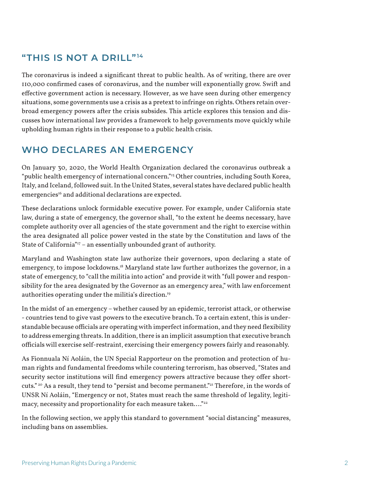## **"THIS IS NOT A DRILL"14**

The coronavirus is indeed a significant threat to public health. As of writing, there are over 110,000 confirmed cases of coronavirus, and the number will exponentially grow. Swift and effective government action is necessary. However, as we have seen during other emergency situations, some governments use a crisis as a pretext to infringe on rights. Others retain overbroad emergency powers after the crisis subsides. This article explores this tension and discusses how international law provides a framework to help governments move quickly while upholding human rights in their response to a public health crisis.

## **WHO DECLARES AN EMERGENCY**

On January 30, 2020, the World Health Organization declared the coronavirus outbreak a "public health emergency of international concern."15 Other countries, including South Korea, Italy, and Iceland, followed suit. In the United States, several states have declared public health emergencies<sup>16</sup> and additional declarations are expected.

These declarations unlock formidable executive power. For example, under California state law, during a state of emergency, the governor shall, "to the extent he deems necessary, have complete authority over all agencies of the state government and the right to exercise within the area designated all police power vested in the state by the Constitution and laws of the State of California"<sup>17</sup> - an essentially unbounded grant of authority.

Maryland and Washington state law authorize their governors, upon declaring a state of emergency, to impose lockdowns.<sup>18</sup> Maryland state law further authorizes the governor, in a state of emergency, to "call the militia into action" and provide it with "full power and responsibility for the area designated by the Governor as an emergency area," with law enforcement authorities operating under the militia's direction.<sup>19</sup>

In the midst of an emergency – whether caused by an epidemic, terrorist attack, or otherwise - countries tend to give vast powers to the executive branch. To a certain extent, this is understandable because officials are operating with imperfect information, and they need flexibility to address emerging threats. In addition, there is an implicit assumption that executive branch officials will exercise self-restraint, exercising their emergency powers fairly and reasonably.

As Fionnuala Ní Aoláin, the UN Special Rapporteur on the promotion and protection of human rights and fundamental freedoms while countering terrorism, has observed, "States and security sector institutions will find emergency powers attractive because they offer shortcuts." 20 As a result, they tend to "persist and become permanent."21 Therefore, in the words of UNSR Ní Aoláin, "Emergency or not, States must reach the same threshold of legality, legitimacy, necessity and proportionality for each measure taken...."<sup>22</sup>

In the following section, we apply this standard to government "social distancing" measures, including bans on assemblies.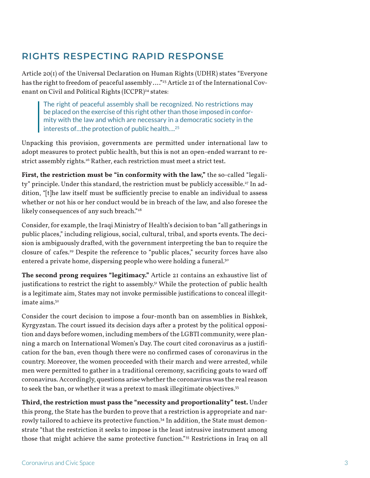## **RIGHTS RESPECTING RAPID RESPONSE**

Article 20(1) of the Universal Declaration on Human Rights (UDHR) states "Everyone has the right to freedom of peaceful assembly ...."<sup>23</sup> Article 21 of the International Covenant on Civil and Political Rights (ICCPR)<sup>24</sup> states:

The right of peaceful assembly shall be recognized. No restrictions may be placed on the exercise of this right other than those imposed in conformity with the law and which are necessary in a democratic society in the interests of ... the protection of public health....<sup>25</sup>

Unpacking this provision, governments are permitted under international law to adopt measures to protect public health, but this is not an open-ended warrant to restrict assembly rights.<sup>26</sup> Rather, each restriction must meet a strict test.

**First, the restriction must be "in conformity with the law,"** the so-called "legality" principle. Under this standard, the restriction must be publicly accessible.<sup>27</sup> In addition, "[t]he law itself must be sufficiently precise to enable an individual to assess whether or not his or her conduct would be in breach of the law, and also foresee the likely consequences of any such breach."28

Consider, for example, the Iraqi Ministry of Health's decision to ban "all gatherings in public places," including religious, social, cultural, tribal, and sports events. The decision is ambiguously drafted, with the government interpreting the ban to require the closure of cafes.29 Despite the reference to "public places," security forces have also entered a private home, dispersing people who were holding a funeral.<sup>30</sup>

**The second prong requires "legitimacy."** Article 21 contains an exhaustive list of justifications to restrict the right to assembly.<sup>31</sup> While the protection of public health is a legitimate aim, States may not invoke permissible justifications to conceal illegitimate aims.<sup>32</sup>

Consider the court decision to impose a four-month ban on assemblies in Bishkek, Kyrgyzstan. The court issued its decision days after a protest by the political opposition and days before women, including members of the LGBTI community, were planning a march on International Women's Day. The court cited coronavirus as a justification for the ban, even though there were no confirmed cases of coronavirus in the country. Moreover, the women proceeded with their march and were arrested, while men were permitted to gather in a traditional ceremony, sacrificing goats to ward off coronavirus. Accordingly, questions arise whether the coronavirus was the real reason to seek the ban, or whether it was a pretext to mask illegitimate objectives.<sup>33</sup>

**Third, the restriction must pass the "necessity and proportionality" test.** Under this prong, the State has the burden to prove that a restriction is appropriate and narrowly tailored to achieve its protective function.<sup>34</sup> In addition, the State must demonstrate "that the restriction it seeks to impose is the least intrusive instrument among those that might achieve the same protective function."<sup>35</sup> Restrictions in Iraq on all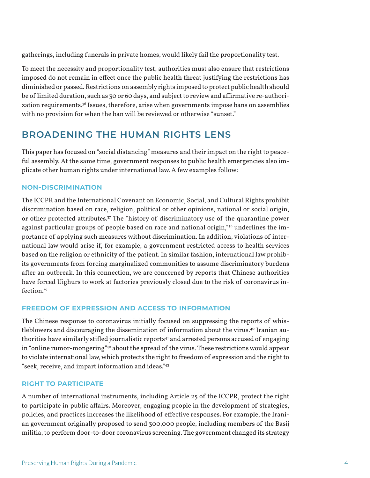gatherings, including funerals in private homes, would likely fail the proportionality test.

To meet the necessity and proportionality test, authorities must also ensure that restrictions imposed do not remain in effect once the public health threat justifying the restrictions has diminished or passed. Restrictions on assembly rights imposed to protect public health should be of limited duration, such as 30 or 60 days, and subject to review and affirmative re-authorization requirements.<sup>36</sup> Issues, therefore, arise when governments impose bans on assemblies with no provision for when the ban will be reviewed or otherwise "sunset."

## **BROADENING THE HUMAN RIGHTS LENS**

This paper has focused on "social distancing" measures and their impact on the right to peaceful assembly. At the same time, government responses to public health emergencies also implicate other human rights under international law. A few examples follow:

#### **Non-discrimination**

The ICCPR and the International Covenant on Economic, Social, and Cultural Rights prohibit discrimination based on race, religion, political or other opinions, national or social origin, or other protected attributes.<sup>37</sup> The "history of discriminatory use of the quarantine power against particular groups of people based on race and national origin,"38 underlines the importance of applying such measures without discrimination. In addition, violations of international law would arise if, for example, a government restricted access to health services based on the religion or ethnicity of the patient. In similar fashion, international law prohibits governments from forcing marginalized communities to assume discriminatory burdens after an outbreak. In this connection, we are concerned by reports that Chinese authorities have forced Uighurs to work at factories previously closed due to the risk of coronavirus infection.39

#### **Freedom of Expression and Access to information**

The Chinese response to coronavirus initially focused on suppressing the reports of whistleblowers and discouraging the dissemination of information about the virus.<sup>40</sup> Iranian authorities have similarly stifled journalistic reports<sup>41</sup> and arrested persons accused of engaging in "online rumor-mongering"<sup>42</sup> about the spread of the virus. These restrictions would appear to violate international law, which protects the right to freedom of expression and the right to "seek, receive, and impart information and ideas."<sup>43</sup>

#### **Right to Participate**

A number of international instruments, including Article 25 of the ICCPR, protect the right to participate in public affairs. Moreover, engaging people in the development of strategies, policies, and practices increases the likelihood of effective responses. For example, the Iranian government originally proposed to send 300,000 people, including members of the Basij militia, to perform door-to-door coronavirus screening. The government changed its strategy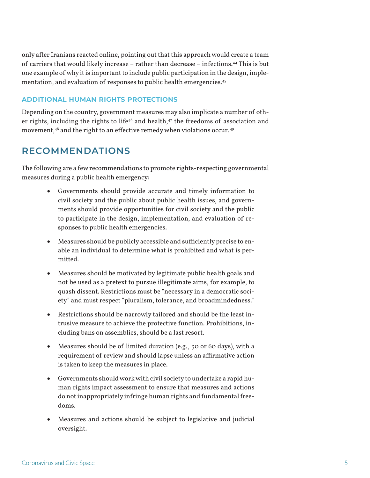only after Iranians reacted online, pointing out that this approach would create a team of carriers that would likely increase – rather than decrease – infections.<sup>44</sup> This is but one example of why it is important to include public participation in the design, implementation, and evaluation of responses to public health emergencies.<sup>45</sup>

#### **Additional Human Rights Protections**

Depending on the country, government measures may also implicate a number of other rights, including the rights to life<sup>46</sup> and health,<sup>47</sup> the freedoms of association and movement,48 and the right to an effective remedy when violations occur. <sup>49</sup>

### **RECOMMENDATIONS**

The following are a few recommendations to promote rights-respecting governmental measures during a public health emergency:

- • Governments should provide accurate and timely information to civil society and the public about public health issues, and governments should provide opportunities for civil society and the public to participate in the design, implementation, and evaluation of responses to public health emergencies.
- Measures should be publicly accessible and sufficiently precise to enable an individual to determine what is prohibited and what is permitted.
- Measures should be motivated by legitimate public health goals and not be used as a pretext to pursue illegitimate aims, for example, to quash dissent. Restrictions must be "necessary in a democratic society" and must respect "pluralism, tolerance, and broadmindedness."
- Restrictions should be narrowly tailored and should be the least intrusive measure to achieve the protective function. Prohibitions, including bans on assemblies, should be a last resort.
- Measures should be of limited duration (e.g., 30 or 60 days), with a requirement of review and should lapse unless an affirmative action is taken to keep the measures in place.
- • Governments should work with civil society to undertake a rapid human rights impact assessment to ensure that measures and actions do not inappropriately infringe human rights and fundamental freedoms.
- Measures and actions should be subject to legislative and judicial oversight.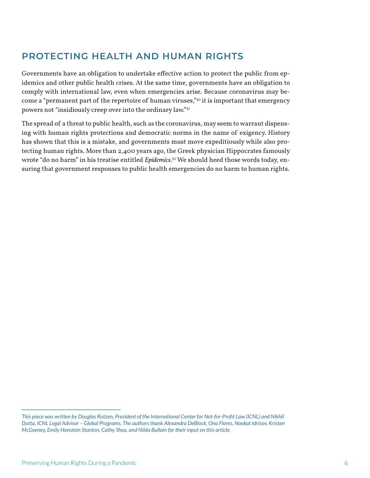## **PROTECTING HEALTH AND HUMAN RIGHTS**

Governments have an obligation to undertake effective action to protect the public from epidemics and other public health crises. At the same time, governments have an obligation to comply with international law, even when emergencies arise. Because coronavirus may become a "permanent part of the repertoire of human viruses," $50$  it is important that emergency powers not "insidiously creep over into the ordinary law."51

The spread of a threat to public health, such as the coronavirus, may seem to warrant dispensing with human rights protections and democratic norms in the name of exigency. History has shown that this is a mistake, and governments must move expeditiously while also protecting human rights. More than 2,400 years ago, the Greek physician Hippocrates famously wrote "do no harm" in his treatise entitled *Epidemics*. 52 We should heed those words today, ensuring that government responses to public health emergencies do no harm to human rights.

*This piece was written by Douglas Rutzen, President of the International Center for Not-for-Profit Law (ICNL) and Nikhil Dutta, ICNL Legal Advisor – Global Programs. The authors thank Alexandra DeBlock, Ona Flores, Nookat Idrisov, Kristen McGeeney, Emily Honstein Stanton, Cathy Shea, and Nilda Bullain for their input on this article.*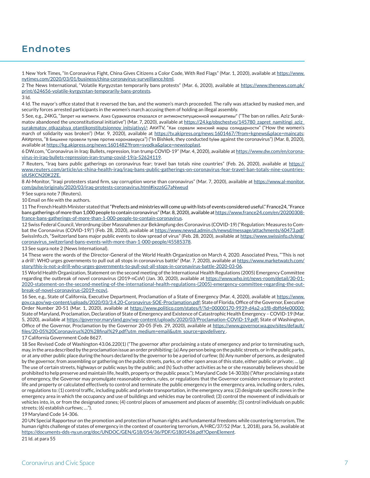## **Endnotes**

1 New York Times, "In Coronavirus Fight, China Gives Citizens a Color Code, With Red Flags" (Mar. 1, 2020), available at https://www. nytimes.com/2020/03/01/business/china-coronavirus-surveillance.html.

2 The News International, "Volatile Kyrgyzstan temporarily bans protests" (Mar. 6, 2020), available at https://www.thenews.com.pk/ print/624656-volatile-kyrgyzstan-temporarily-bans-protests.

3 Id.

4 Id. The mayor's office stated that it reversed the ban, and the women's march proceeded. The rally was attacked by masked men, and security forces arrested participants in the women's march accusing them of holding an illegal assembly.

5 See, e.g., 24KG, "Запрет на митинги. Азиз Суракматов отказался от антиконституционной инициативы" ("The ban on rallies. Aziz Surakmatov abandoned the unconstitutional initiative") (Mar. 7, 2020), available at https://24.kg/obschestvo/145780\_zapret\_namitingi\_aziz\_ surakmatov\_otkazalsya\_otantikonstitutsionnoy\_initsiativyi/; АКИТV, "Как сорвали женский марш солидарности" ("How the women's march of solidarity was broken") (Mar. 9, 2020), available at https://tv.akipress.org/news:1601467/?from=kgnews&place=maincats; AКИpress, "В Бишкеке провели түлөө против коронавируса") ("In Bishkek, they conducted tүlөө against the coronavirus") (Mar. 8, 2020), available at https://kg.akipress.org/news:1601482?from=svodka&place=newstoplast.

6 DW.com, "Coronavirus in Iraq: Bullets, repression, Iran trump COVID-19" (Mar. 4, 2020), available at https://www.dw.com/en/coronavirus-in-iraq-bullets-repression-iran-trump-covid-19/a-52624119.

7 Reuters, "Iraq bans public gatherings on coronavirus fear; travel ban totals nine countries" (Feb. 26, 2020), available at https:// www.reuters.com/article/us-china-health-iraq/iraq-bans-public-gatherings-on-coronavirus-fear-travel-ban-totals-nine-countriesidUSKCN20K2ZE.

8 Al-Monitor, "Iraqi protesters stand firm, say corruption worse than coronavirus" (Mar. 7, 2020), available at https://www.al-monitor. com/pulse/originals/2020/03/iraq-protests-coronavirus.html#ixzz6G7aNweud

9 See supra note 7 (Reuters).

10 Email on file with the authors.

11 The French Health Minister stated that "Prefects and ministries will come up with lists of events considered useful." France24, "France bans gatherings of more than 1,000 people to contain coronavirus" (Mar. 8, 2020), available at https://www.france24.com/en/20200308france-bans-gatherings-of-more-than-1-000-people-to-contain-coronavirus.

12 Swiss Federal Council, Verordnung über Massnahmen zur Bekämpfung des Coronavirus (COVID-19) ("Regulation: Measures to Combat the Coronavirus (COVID-19)") (Feb. 28, 2020), available at https://www.newsd.admin.ch/newsd/message/attachments/60473.pdf; SwissInfo.ch, "Switzerland bans major public events to slow spread of virus" (Feb. 28, 2020), available at https://www.swissinfo.ch/eng/ coronavirus\_switzerland-bans-events-with-more-than-1-000-people/45585378.

13 See supra note 2 (News International).

14 These were the words of the Director-General of the World Health Organization on March 4, 2020. Associated Press, "'This is not a drill': WHO urges governments to pull out all stops in coronavirus battle" (Mar. 7, 2020), available at https://www.marketwatch.com/ story/this-is-not-a-drill-who-urges-governments-to-pull-out-all-stops-in-coronavirus-battle-2020-03-06.

15 World Health Organization, Statement on the second meeting of the International Health Regulations (2005) Emergency Committee regarding the outbreak of novel coronavirus (2019-nCoV) (Jan. 30, 2020), available at https://www.who.int/news-room/detail/30-01- 2020-statement-on-the-second-meeting-of-the-international-health-regulations-(2005)-emergency-committee-regarding-the-outbreak-of-novel-coronavirus-(2019-ncov).

16 See, e.g., State of California, Executive Department, Proclamation of a State of Emergency (Mar. 4, 2020), available at https://www. gov.ca.gov/wp-content/uploads/2020/03/3.4.20-Coronavirus-SOE-Proclamation.pdf; State of Florida, Office of the Governor, Executive Order Number 20-51 (Mar. 1, 2020), available at https://www.politico.com/states/f/?id=00000170-9939-d4a2-a1f8-dbffd4e00000; State of Maryland, Proclamation, Declaration of State of Emergency and Existence of Catastrophic Health Emergency – COVID-19 (Mar. 5, 2020), available at https://governor.maryland.gov/wp-content/uploads/2020/03/Proclamation-COVID-19.pdf; State of Washington, Office of the Governor, Proclamation by the Governor 20-05 (Feb. 29, 2020), available at https://www.governor.wa.gov/sites/default/ files/20-05%20Coronavirus%20%28final%29.pdf?utm\_medium=email&utm\_source=govdelivery .

17 California Government Code 8627.

18 See Revised Code of Washington 43.06.220(1) ("The governor after proclaiming a state of emergency and prior to terminating such, may, in the area described by the proclamation issue an order prohibiting: (a) Any person being on the public streets, or in the public parks, or at any other public place during the hours declared by the governor to be a period of curfew; (b) Any number of persons, as designated by the governor, from assembling or gathering on the public streets, parks, or other open areas of this state, either public or private; … (g) The use of certain streets, highways or public ways by the public; and (h) Such other activities as he or she reasonably believes should be prohibited to help preserve and maintain life, health, property or the public peace."); Maryland Code 14-303(b) ("After proclaiming a state of emergency, the Governor may promulgate reasonable orders, rules, or regulations that the Governor considers necessary to protect life and property or calculated effectively to control and terminate the public emergency in the emergency area, including orders, rules, or regulations to: (1) control traffic, including public and private transportation, in the emergency area; (2) designate specific zones in the emergency area in which the occupancy and use of buildings and vehicles may be controlled; (3) control the movement of individuals or vehicles into, in, or from the designated zones; (4) control places of amusement and places of assembly; (5) control individuals on public streets; (6) establish curfews; …").

19 Maryland Code 14-306.

20 UN Special Rapporteur on the promotion and protection of human rights and fundamental freedoms while countering terrorism, The human rights challenge of states of emergency in the context of countering terrorism, A/HRC/37/52 (Mar. 1, 2018), para. 56, available at https://documents-dds-ny.un.org/doc/UNDOC/GEN/G18/054/36/PDF/G1805436.pdf?OpenElement.

21 Id. at para 55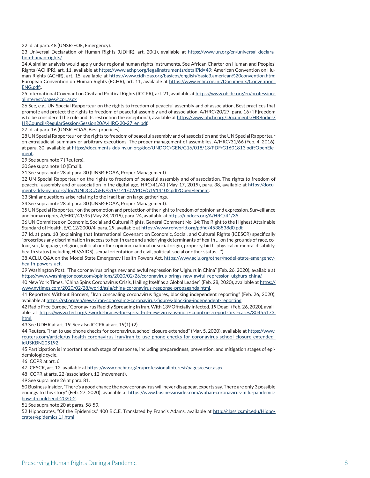22 Id. at para. 48 (UNSR-FOE, Emergency).

23 Universal Declaration of Human Rights (UDHR), art. 20(1), available at https://www.un.org/en/universal-declaration-human-rights/.

24 A similar analysis would apply under regional human rights instruments. See African Charter on Human and Peoples' Rights (ACHPR), art. 11, available at https://www.achpr.org/legalinstruments/detail?id=49; American Convention on Human Rights (ACHR), art. 15, available at https://www.cidh.oas.org/basicos/english/basic3.american%20convention.htm; European Convention on Human Rights (ECHR), art. 11, available at https://www.echr.coe.int/Documents/Convention\_ ENG.pdf;.

25 International Covenant on Civil and Political Rights (ICCPR), art. 21, available at https://www.ohchr.org/en/professionalinterest/pages/ccpr.aspx

26 See, e.g., UN Special Rapporteur on the rights to freedom of peaceful assembly and of association, Best practices that promote and protect the rights to freedom of peaceful assembly and of association, A/HRC/20/27, para. 16 ("[F]reedom is to be considered the rule and its restriction the exception."), available at https://www.ohchr.org/Documents/HRBodies/ HRCouncil/RegularSession/Session20/A-HRC-20-27\_en.pdf.

27 Id. at para. 16 (UNSR-FOAA, Best practices).

28 UN Special Rapporteur on the rights to freedom of peaceful assembly and of association and the UN Special Rapporteur on extrajudicial, summary or arbitrary executions, The proper management of assemblies, A/HRC/31/66 (Feb. 4, 2016), at para. 30, available at https://documents-dds-ny.un.org/doc/UNDOC/GEN/G16/018/13/PDF/G1601813.pdf?OpenElement.

29 See supra note 7 (Reuters).

30 See supra note 10 (Email).

31 See supra note 28 at para. 30 (UNSR-FOAA, Proper Management).

32 UN Special Rapporteur on the rights to freedom of peaceful assembly and of association, The rights to freedom of peaceful assembly and of association in the digital age, HRC/41/41 (May 17, 2019), para. 38, available at https://documents-dds-ny.un.org/doc/UNDOC/GEN/G19/141/02/PDF/G1914102.pdf?OpenElement.

33 Similar questions arise relating to the Iraqi ban on large gatherings.

34 See supra note 28 at para. 30 (UNSR-FOAA, Proper Management).

35 UN Special Rapporteur on the promotion and protection of the right to freedom of opinion and expression, Surveillance and human rights, A/HRC/41/35 (May 28, 2019), para. 24, available at https://undocs.org/A/HRC/41/35.

36 UN Committee on Economic, Social and Cultural Rights, General Comment No. 14: The Right to the Highest Attainable Standard of Health, E/C.12/2000/4, para. 29, available at https://www.refworld.org/pdfid/4538838d0.pdf.

37 Id. at para. 18 (explaining that International Covenant on Economic, Social, and Cultural Rights (ICESCR) specifically "proscribes any discrimination in access to health care and underlying determinants of health … on the grounds of race, colour, sex, language, religion, political or other opinion, national or social origin, property, birth, physical or mental disability, health status (including HIV/AIDS), sexual orientation and civil, political, social or other status….").

38 ACLU, Q&A on the Model State Emergency Health Powers Act, https://www.aclu.org/other/model-state-emergencyhealth-powers-act.

39 Washington Post, "The coronavirus brings new and awful repression for Uighurs in China" (Feb. 26, 2020), available at https://www.washingtonpost.com/opinions/2020/02/26/coronavirus-brings-new-awful-repression-uighurs-china/.

40 New York Times, "China Spins Coronavirus Crisis, Hailing Itself as a Global Leader" (Feb. 28, 2020), available at https:// www.nytimes.com/2020/02/28/world/asia/china-coronavirus-response-propaganda.html.

41 Reporters Without Borders, "Iran concealing coronavirus figures, blocking independent reporting" (Feb. 26, 2020), available at https://rsf.org/en/news/iran-concealing-coronavirus-figures-blocking-independent-reporting.

42 Radio Free Europe, "Coronavirus Rapidly Spreading In Iran, With 139 Officially Infected, 19 Dead" (Feb. 26, 2020), available at https://www.rferl.org/a/world-braces-for-spread-of-new-virus-as-more-countries-report-first-cases/30455173. html.

43 See UDHR at art. 19. See also ICCPR at art. 19(1)-(2).

44 Reuters, "Iran to use phone checks for coronavirus, school closure extended" (Mar. 5, 2020), available at https://www. reuters.com/article/us-health-coronavirus-iran/iran-to-use-phone-checks-for-coronavirus-school-closure-extendedidUSKBN20S192

45 Participation is important at each stage of response, including preparedness, prevention, and mitigation stages of epidemiologic cycle.

46 ICCPR at art. 6.

47 ICESCR, art. 12, available at https://www.ohchr.org/en/professionalinterest/pages/cescr.aspx.

48 ICCPR at arts. 22 (association), 12 (movement).

49 See supra note 26 at para. 81.

50 Business Insider, "There's a good chance the new coronavirus will never disappear, experts say. There are only 3 possible endings to this story" (Feb. 27, 2020), available at https://www.businessinsider.com/wuhan-coronavirus-mild-pandemichow-it-could-end-2020-2.

51 See supra note 20 at paras. 58-59.

52 Hippocrates, "Of the Epidemics." 400 B.C.E. Translated by Francis Adams, available at http://classics.mit.edu/Hippocrates/epidemics.1.i.html